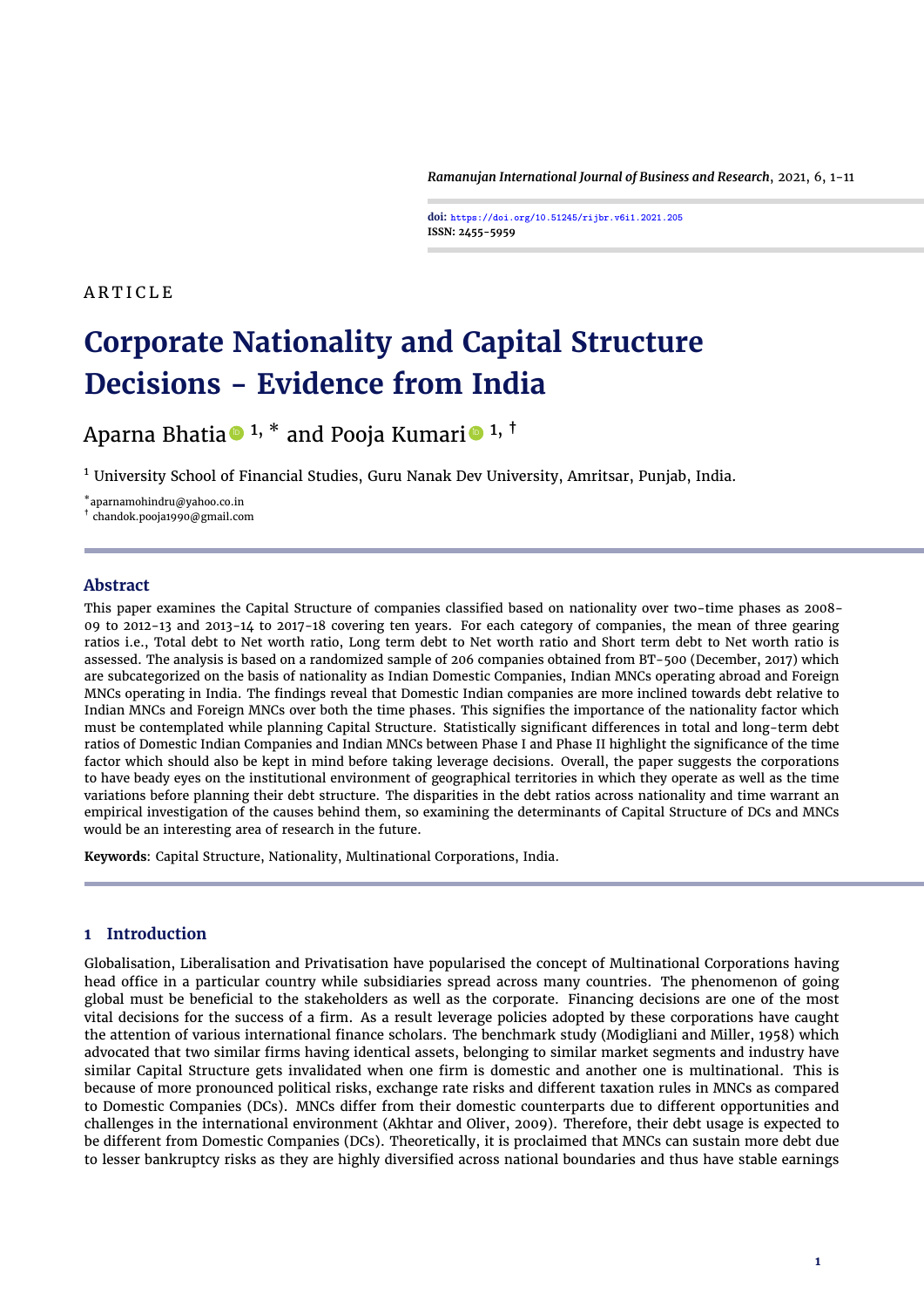*Ramanujan International Journal of Business and Research*, 2021, 6, 1[-11](#page-10-0)

**doi: https://doi.org/10.51245/rijbr.v6i1.2021.205 ISSN: 2455-5959**

# A R T I C L E

# **Corporate Nationality and Capital Structure Decisions - Evidence from India**

Aparna Bhatia  $\bullet$  <sup>1, \*</sup> and Pooja Kumari  $\bullet$  <sup>1, †</sup>

 $1$  University School of Financial Studies, Guru Nanak Dev University, Amritsar, Punjab, India.

\*aparnamohindru@yahoo.co.in

† chandok.pooja1990@gmail.com

## **Abstract**

This paper examines the Capital Structure of companies classified based on nationality over two-time phases as 2008- 09 to 2012-13 and 2013-14 to 2017-18 covering ten years. For each category of companies, the mean of three gearing ratios i.e., Total debt to Net worth ratio, Long term debt to Net worth ratio and Short term debt to Net worth ratio is assessed. The analysis is based on a randomized sample of 206 companies obtained from BT-500 (December, 2017) which are subcategorized on the basis of nationality as Indian Domestic Companies, Indian MNCs operating abroad and Foreign MNCs operating in India. The findings reveal that Domestic Indian companies are more inclined towards debt relative to Indian MNCs and Foreign MNCs over both the time phases. This signifies the importance of the nationality factor which must be contemplated while planning Capital Structure. Statistically significant differences in total and long-term debt ratios of Domestic Indian Companies and Indian MNCs between Phase I and Phase II highlight the significance of the time factor which should also be kept in mind before taking leverage decisions. Overall, the paper suggests the corporations to have beady eyes on the institutional environment of geographical territories in which they operate as well as the time variations before planning their debt structure. The disparities in the debt ratios across nationality and time warrant an empirical investigation of the causes behind them, so examining the determinants of Capital Structure of DCs and MNCs would be an interesting area of research in the future.

**Keywords**: Capital Structure, Nationality, Multinational Corporations, India.

# **1 Introduction**

Globalisation, Liberalisation and Privatisation have popularised the concept of Multinational Corporations having head office in a particular country while subsidiaries spread across many countries. The phenomenon of going global must be beneficial to the stakeholders as well as the corporate. Financing decisions are one of the most vital decisions for the success of a firm. As a result leverage policies adopted by these corporations have caught the attention of various international finance scholars. The benchmark study [\(Modigliani and Miller,](#page-9-0) [1958\)](#page-9-0) which advocated that two similar firms having identical assets, belonging to similar market segments and industry have similar Capital Structure gets invalidated when one firm is domestic and another one is multinational. This is because of more pronounced political risks, exchange rate risks and different taxation rules in MNCs as compared to Domestic Companies (DCs). MNCs differ from their domestic counterparts due to different opportunities and challenges in the international environment [\(Akhtar and Oliver,](#page-8-0) [2009\)](#page-8-0). Therefore, their debt usage is expected to be different from Domestic Companies (DCs). Theoretically, it is proclaimed that MNCs can sustain more debt due to lesser bankruptcy risks as they are highly diversified across national boundaries and thus have stable earnings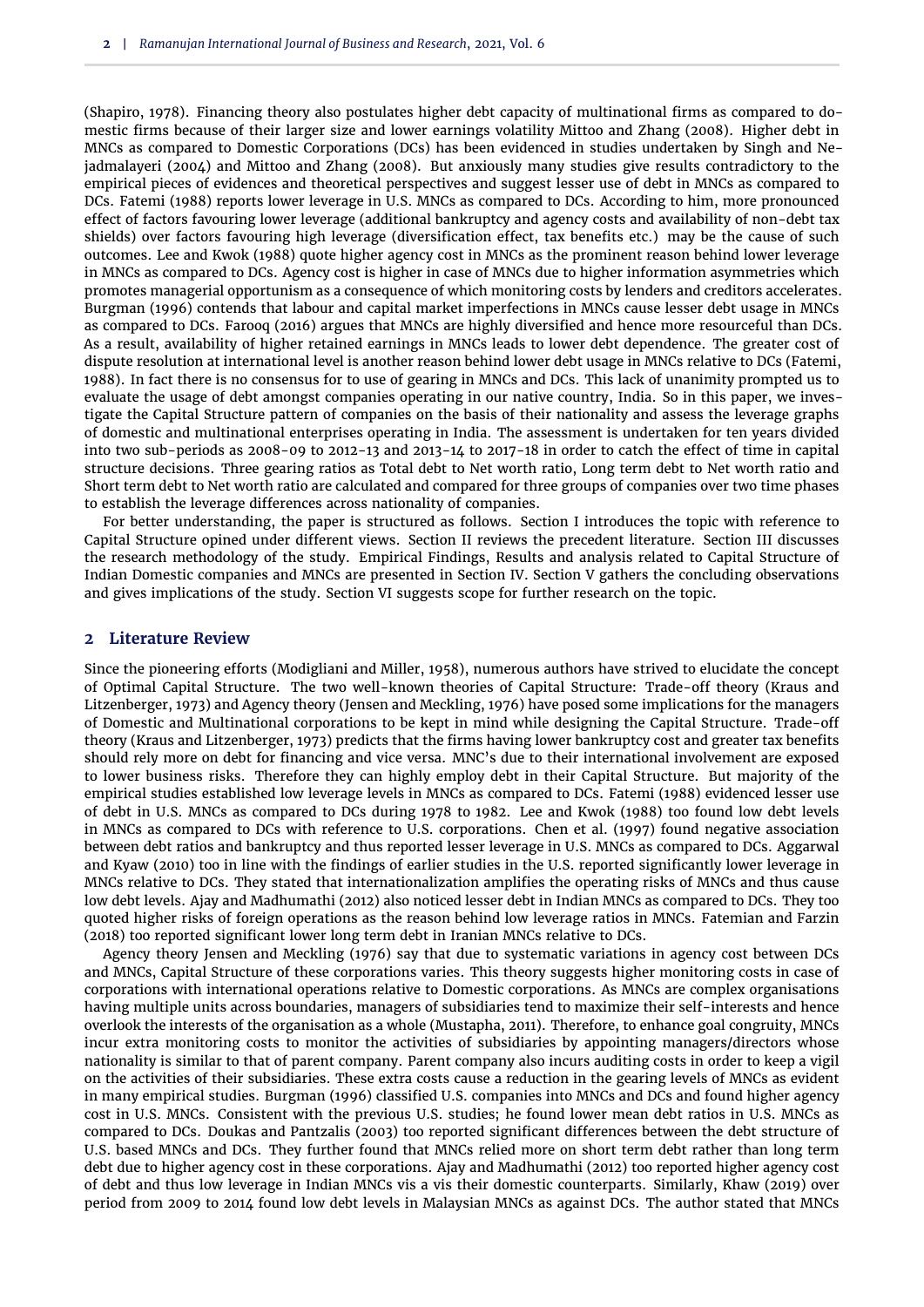[\(Shapiro,](#page-10-1) [1978\)](#page-10-1). Financing theory also postulates higher debt capacity of multinational firms as compared to domestic firms because of their larger size and lower earnings volatility [Mittoo and Zhang](#page-9-1) [\(2008\)](#page-9-1). Higher debt in MNCs as compared to Domestic Corporations (DCs) has been evidenced in studies undertaken by [Singh and Ne](#page-10-2)[jadmalayeri](#page-10-2) [\(2004\)](#page-10-2) and [Mittoo and Zhang](#page-9-1) [\(2008\)](#page-9-1). But anxiously many studies give results contradictory to the empirical pieces of evidences and theoretical perspectives and suggest lesser use of debt in MNCs as compared to DCs. [Fatemi](#page-9-2) [\(1988\)](#page-9-2) reports lower leverage in U.S. MNCs as compared to DCs. According to him, more pronounced effect of factors favouring lower leverage (additional bankruptcy and agency costs and availability of non-debt tax shields) over factors favouring high leverage (diversification effect, tax benefits etc.) may be the cause of such outcomes. [Lee and Kwok](#page-9-3) [\(1988\)](#page-9-3) quote higher agency cost in MNCs as the prominent reason behind lower leverage in MNCs as compared to DCs. Agency cost is higher in case of MNCs due to higher information asymmetries which promotes managerial opportunism as a consequence of which monitoring costs by lenders and creditors accelerates. [Burgman](#page-9-4) [\(1996\)](#page-9-4) contends that labour and capital market imperfections in MNCs cause lesser debt usage in MNCs as compared to DCs. [Farooq](#page-9-5) [\(2016\)](#page-9-5) argues that MNCs are highly diversified and hence more resourceful than DCs. As a result, availability of higher retained earnings in MNCs leads to lower debt dependence. The greater cost of dispute resolution at international level is another reason behind lower debt usage in MNCs relative to DCs [\(Fatemi,](#page-9-2) [1988\)](#page-9-2). In fact there is no consensus for to use of gearing in MNCs and DCs. This lack of unanimity prompted us to evaluate the usage of debt amongst companies operating in our native country, India. So in this paper, we investigate the Capital Structure pattern of companies on the basis of their nationality and assess the leverage graphs of domestic and multinational enterprises operating in India. The assessment is undertaken for ten years divided into two sub-periods as 2008-09 to 2012-13 and 2013-14 to 2017-18 in order to catch the effect of time in capital structure decisions. Three gearing ratios as Total debt to Net worth ratio, Long term debt to Net worth ratio and Short term debt to Net worth ratio are calculated and compared for three groups of companies over two time phases to establish the leverage differences across nationality of companies.

For better understanding, the paper is structured as follows. Section I introduces the topic with reference to Capital Structure opined under different views. Section II reviews the precedent literature. Section III discusses the research methodology of the study. Empirical Findings, Results and analysis related to Capital Structure of Indian Domestic companies and MNCs are presented in Section IV. Section V gathers the concluding observations and gives implications of the study. Section VI suggests scope for further research on the topic.

## **2 Literature Review**

Since the pioneering efforts [\(Modigliani and Miller,](#page-9-0) [1958\)](#page-9-0), numerous authors have strived to elucidate the concept of Optimal Capital Structure. The two well-known theories of Capital Structure: Trade-off theory [\(Kraus and](#page-9-6) [Litzenberger,](#page-9-6) [1973\)](#page-9-6) and Agency theory [\(Jensen and Meckling,](#page-9-7) [1976\)](#page-9-7) have posed some implications for the managers of Domestic and Multinational corporations to be kept in mind while designing the Capital Structure. Trade-off theory [\(Kraus and Litzenberger,](#page-9-6) [1973\)](#page-9-6) predicts that the firms having lower bankruptcy cost and greater tax benefits should rely more on debt for financing and vice versa. MNC's due to their international involvement are exposed to lower business risks. Therefore they can highly employ debt in their Capital Structure. But majority of the empirical studies established low leverage levels in MNCs as compared to DCs. [Fatemi](#page-9-2) [\(1988\)](#page-9-2) evidenced lesser use of debt in U.S. MNCs as compared to DCs during 1978 to 1982. [Lee and Kwok](#page-9-3) [\(1988\)](#page-9-3) too found low debt levels in MNCs as compared to DCs with reference to U.S. corporations. [Chen et al.](#page-9-8) [\(1997\)](#page-9-8) found negative association between debt ratios and bankruptcy and thus reported lesser leverage in U.S. MNCs as compared to DCs. [Aggarwal](#page-8-1) [and Kyaw](#page-8-1) [\(2010\)](#page-8-1) too in line with the findings of earlier studies in the U.S. reported significantly lower leverage in MNCs relative to DCs. They stated that internationalization amplifies the operating risks of MNCs and thus cause low debt levels. [Ajay and Madhumathi](#page-8-2) [\(2012\)](#page-8-2) also noticed lesser debt in Indian MNCs as compared to DCs. They too quoted higher risks of foreign operations as the reason behind low leverage ratios in MNCs. [Fatemian and Farzin](#page-9-9) [\(2018\)](#page-9-9) too reported significant lower long term debt in Iranian MNCs relative to DCs.

Agency theory [Jensen and Meckling](#page-9-7) [\(1976\)](#page-9-7) say that due to systematic variations in agency cost between DCs and MNCs, Capital Structure of these corporations varies. This theory suggests higher monitoring costs in case of corporations with international operations relative to Domestic corporations. As MNCs are complex organisations having multiple units across boundaries, managers of subsidiaries tend to maximize their self-interests and hence overlook the interests of the organisation as a whole [\(Mustapha,](#page-9-10) [2011\)](#page-9-10). Therefore, to enhance goal congruity, MNCs incur extra monitoring costs to monitor the activities of subsidiaries by appointing managers/directors whose nationality is similar to that of parent company. Parent company also incurs auditing costs in order to keep a vigil on the activities of their subsidiaries. These extra costs cause a reduction in the gearing levels of MNCs as evident in many empirical studies. [Burgman](#page-9-4) [\(1996\)](#page-9-4) classified U.S. companies into MNCs and DCs and found higher agency cost in U.S. MNCs. Consistent with the previous U.S. studies; he found lower mean debt ratios in U.S. MNCs as compared to DCs. [Doukas and Pantzalis](#page-9-11) [\(2003\)](#page-9-11) too reported significant differences between the debt structure of U.S. based MNCs and DCs. They further found that MNCs relied more on short term debt rather than long term debt due to higher agency cost in these corporations. [Ajay and Madhumathi](#page-8-2) [\(2012\)](#page-8-2) too reported higher agency cost of debt and thus low leverage in Indian MNCs vis a vis their domestic counterparts. Similarly, [Khaw](#page-9-12) [\(2019\)](#page-9-12) over period from 2009 to 2014 found low debt levels in Malaysian MNCs as against DCs. The author stated that MNCs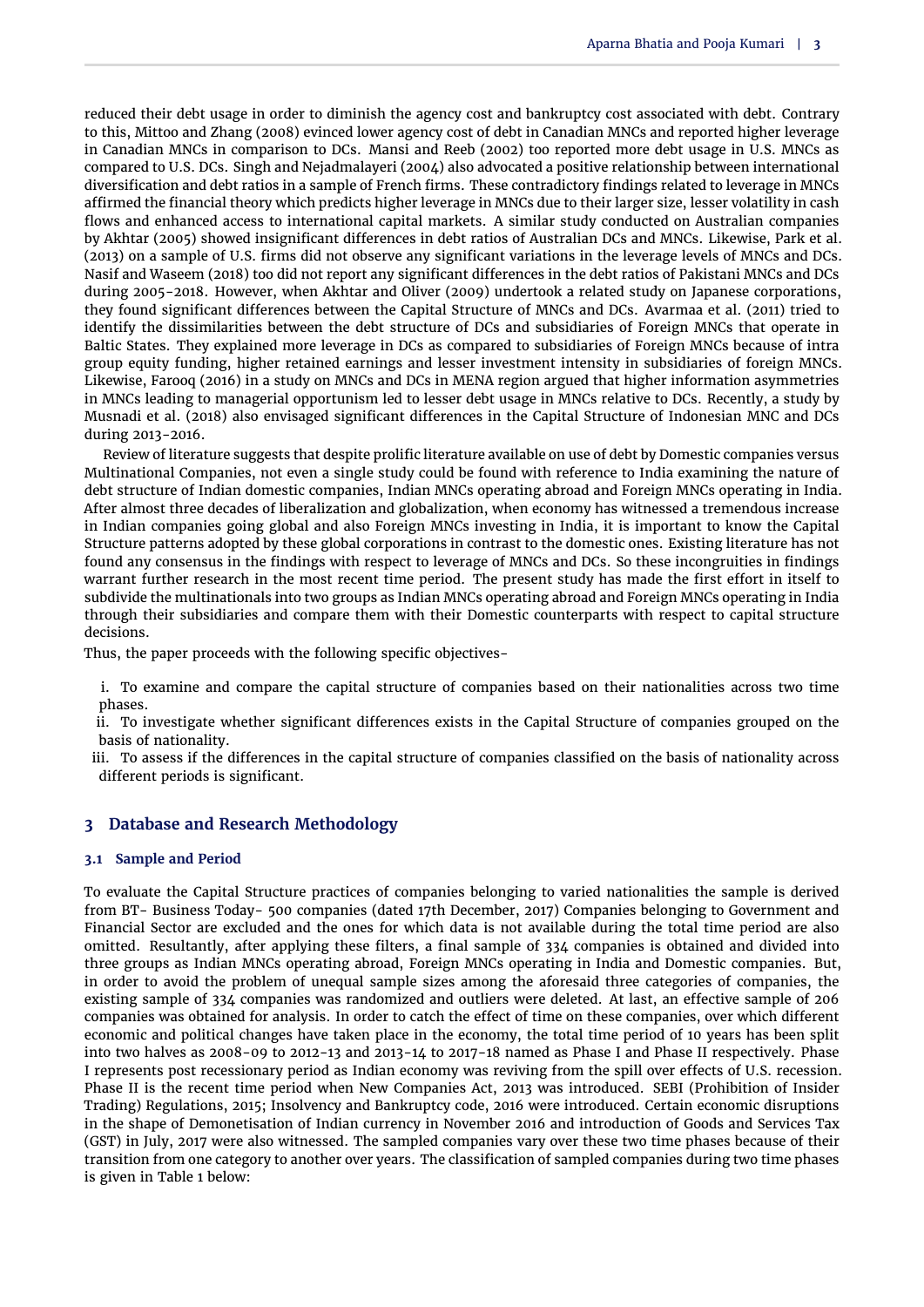reduced their debt usage in order to diminish the agency cost and bankruptcy cost associated with debt. Contrary to this, [Mittoo and Zhang](#page-9-1) [\(2008\)](#page-9-1) evinced lower agency cost of debt in Canadian MNCs and reported higher leverage in Canadian MNCs in comparison to DCs. [Mansi and Reeb](#page-9-13) [\(2002\)](#page-9-13) too reported more debt usage in U.S. MNCs as compared to U.S. DCs. [Singh and Nejadmalayeri](#page-10-2) [\(2004\)](#page-10-2) also advocated a positive relationship between international diversification and debt ratios in a sample of French firms. These contradictory findings related to leverage in MNCs affirmed the financial theory which predicts higher leverage in MNCs due to their larger size, lesser volatility in cash flows and enhanced access to international capital markets. A similar study conducted on Australian companies by [Akhtar](#page-8-3) [\(2005\)](#page-8-3) showed insignificant differences in debt ratios of Australian DCs and MNCs. Likewise, [Park et al.](#page-10-3) [\(2013\)](#page-10-3) on a sample of U.S. firms did not observe any significant variations in the leverage levels of MNCs and DCs. [Nasif and Waseem](#page-9-14) [\(2018\)](#page-9-14) too did not report any significant differences in the debt ratios of Pakistani MNCs and DCs during 2005-2018. However, when [Akhtar and Oliver](#page-8-0) [\(2009\)](#page-8-0) undertook a related study on Japanese corporations, they found significant differences between the Capital Structure of MNCs and DCs. [Avarmaa et al.](#page-9-15) [\(2011\)](#page-9-15) tried to identify the dissimilarities between the debt structure of DCs and subsidiaries of Foreign MNCs that operate in Baltic States. They explained more leverage in DCs as compared to subsidiaries of Foreign MNCs because of intra group equity funding, higher retained earnings and lesser investment intensity in subsidiaries of foreign MNCs. Likewise, [Farooq](#page-9-5) [\(2016\)](#page-9-5) in a study on MNCs and DCs in MENA region argued that higher information asymmetries in MNCs leading to managerial opportunism led to lesser debt usage in MNCs relative to DCs. Recently, a study by [Musnadi et al.](#page-9-16) [\(2018\)](#page-9-16) also envisaged significant differences in the Capital Structure of Indonesian MNC and DCs during 2013-2016.

Review of literature suggests that despite prolific literature available on use of debt by Domestic companies versus Multinational Companies, not even a single study could be found with reference to India examining the nature of debt structure of Indian domestic companies, Indian MNCs operating abroad and Foreign MNCs operating in India. After almost three decades of liberalization and globalization, when economy has witnessed a tremendous increase in Indian companies going global and also Foreign MNCs investing in India, it is important to know the Capital Structure patterns adopted by these global corporations in contrast to the domestic ones. Existing literature has not found any consensus in the findings with respect to leverage of MNCs and DCs. So these incongruities in findings warrant further research in the most recent time period. The present study has made the first effort in itself to subdivide the multinationals into two groups as Indian MNCs operating abroad and Foreign MNCs operating in India through their subsidiaries and compare them with their Domestic counterparts with respect to capital structure decisions.

Thus, the paper proceeds with the following specific objectives-

i. To examine and compare the capital structure of companies based on their nationalities across two time phases.

ii. To investigate whether significant differences exists in the Capital Structure of companies grouped on the basis of nationality.

iii. To assess if the differences in the capital structure of companies classified on the basis of nationality across different periods is significant.

# **3 Database and Research Methodology**

## **3.1 Sample and Period**

To evaluate the Capital Structure practices of companies belonging to varied nationalities the sample is derived from BT- Business Today- 500 companies (dated 17th December, 2017) Companies belonging to Government and Financial Sector are excluded and the ones for which data is not available during the total time period are also omitted. Resultantly, after applying these filters, a final sample of 334 companies is obtained and divided into three groups as Indian MNCs operating abroad, Foreign MNCs operating in India and Domestic companies. But, in order to avoid the problem of unequal sample sizes among the aforesaid three categories of companies, the existing sample of 334 companies was randomized and outliers were deleted. At last, an effective sample of 206 companies was obtained for analysis. In order to catch the effect of time on these companies, over which different economic and political changes have taken place in the economy, the total time period of 10 years has been split into two halves as 2008-09 to 2012-13 and 2013-14 to 2017-18 named as Phase I and Phase II respectively. Phase I represents post recessionary period as Indian economy was reviving from the spill over effects of U.S. recession. Phase II is the recent time period when New Companies Act, 2013 was introduced. SEBI (Prohibition of Insider Trading) Regulations, 2015; Insolvency and Bankruptcy code, 2016 were introduced. Certain economic disruptions in the shape of Demonetisation of Indian currency in November 2016 and introduction of Goods and Services Tax (GST) in July, 2017 were also witnessed. The sampled companies vary over these two time phases because of their transition from one category to another over years. The classification of sampled companies during two time phases is given in [Table 1](#page-3-0) below: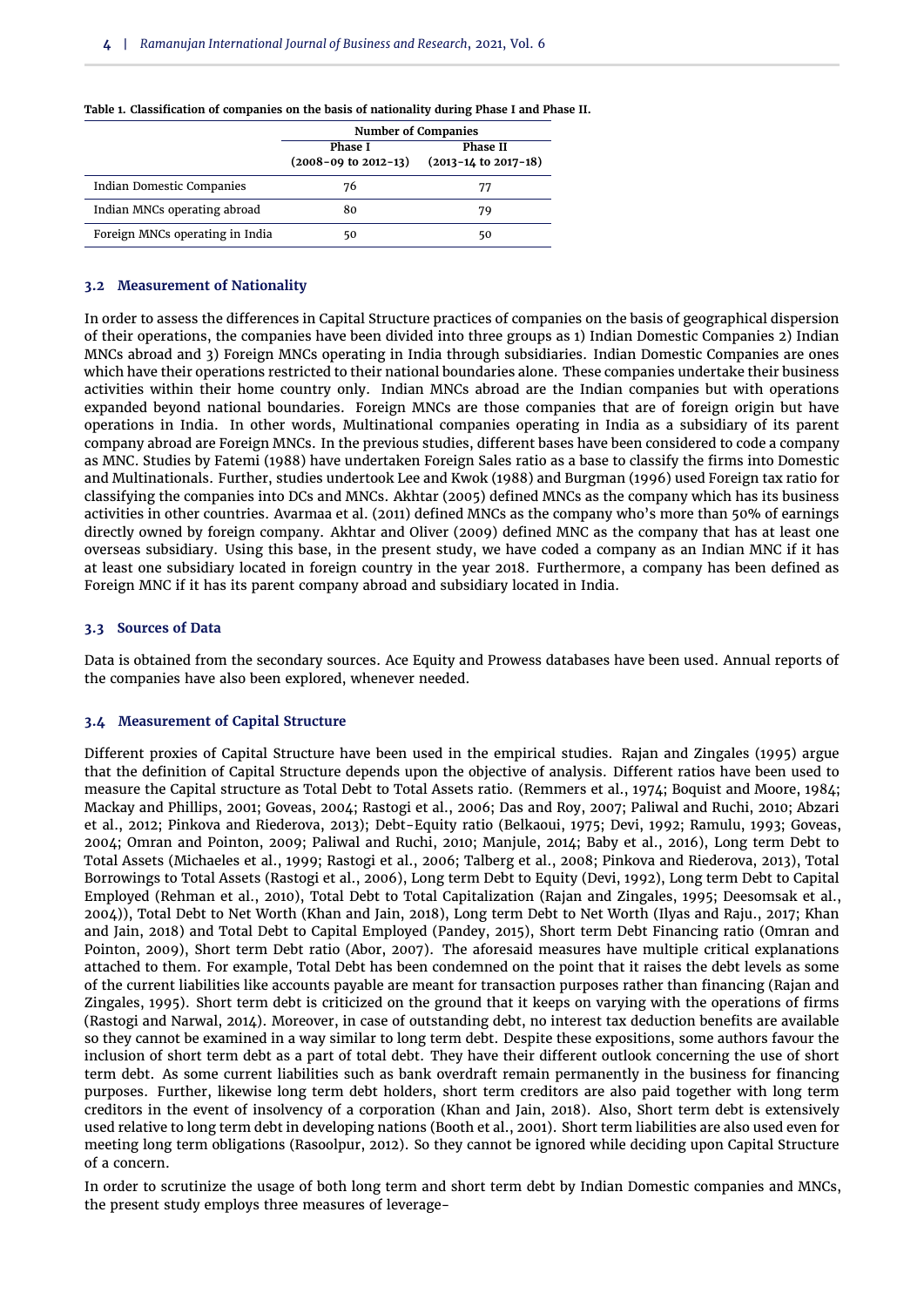|                                 | <b>Number of Companies</b>                            |                                            |  |  |  |
|---------------------------------|-------------------------------------------------------|--------------------------------------------|--|--|--|
|                                 | <b>Phase I</b><br>$(2008 - 09 \text{ to } 2012 - 13)$ | Phase II<br>$(2013 - 14)$ to $2017 - 18$ ) |  |  |  |
| Indian Domestic Companies       | 76                                                    | 77                                         |  |  |  |
| Indian MNCs operating abroad    | 80                                                    | 79                                         |  |  |  |
| Foreign MNCs operating in India | 50                                                    | 50                                         |  |  |  |

<span id="page-3-0"></span>**Table 1. Classification of companies on the basis of nationality during Phase I and Phase II.**

## **3.2 Measurement of Nationality**

In order to assess the differences in Capital Structure practices of companies on the basis of geographical dispersion of their operations, the companies have been divided into three groups as 1) Indian Domestic Companies 2) Indian MNCs abroad and 3) Foreign MNCs operating in India through subsidiaries. Indian Domestic Companies are ones which have their operations restricted to their national boundaries alone. These companies undertake their business activities within their home country only. Indian MNCs abroad are the Indian companies but with operations expanded beyond national boundaries. Foreign MNCs are those companies that are of foreign origin but have operations in India. In other words, Multinational companies operating in India as a subsidiary of its parent company abroad are Foreign MNCs. In the previous studies, different bases have been considered to code a company as MNC. Studies by [Fatemi](#page-9-2) [\(1988\)](#page-9-2) have undertaken Foreign Sales ratio as a base to classify the firms into Domestic and Multinationals. Further, studies undertook [Lee and Kwok](#page-9-3) [\(1988\)](#page-9-3) and [Burgman](#page-9-4) [\(1996\)](#page-9-4) used Foreign tax ratio for classifying the companies into DCs and MNCs. [Akhtar](#page-8-3) [\(2005\)](#page-8-3) defined MNCs as the company which has its business activities in other countries. [Avarmaa et al.](#page-9-15) [\(2011\)](#page-9-15) defined MNCs as the company who's more than 50% of earnings directly owned by foreign company. [Akhtar and Oliver](#page-8-0) [\(2009\)](#page-8-0) defined MNC as the company that has at least one overseas subsidiary. Using this base, in the present study, we have coded a company as an Indian MNC if it has at least one subsidiary located in foreign country in the year 2018. Furthermore, a company has been defined as Foreign MNC if it has its parent company abroad and subsidiary located in India.

## **3.3 Sources of Data**

Data is obtained from the secondary sources. Ace Equity and Prowess databases have been used. Annual reports of the companies have also been explored, whenever needed.

## **3.4 Measurement of Capital Structure**

Different proxies of Capital Structure have been used in the empirical studies. [Rajan and Zingales](#page-10-4) [\(1995\)](#page-10-4) argue that the definition of Capital Structure depends upon the objective of analysis. Different ratios have been used to measure the Capital structure as Total Debt to Total Assets ratio. [\(Remmers et al.,](#page-10-5) [1974;](#page-10-5) [Boquist and Moore,](#page-9-17) [1984;](#page-9-17) [Mackay and Phillips,](#page-9-18) [2001;](#page-9-18) [Goveas,](#page-9-19) [2004;](#page-9-19) [Rastogi et al.,](#page-10-6) [2006;](#page-10-6) [Das and Roy,](#page-9-20) [2007;](#page-9-20) [Paliwal and Ruchi,](#page-9-21) [2010;](#page-9-21) [Abzari](#page-8-4) [et al.,](#page-8-4) [2012;](#page-8-4) [Pinkova and Riederova,](#page-10-7) [2013\)](#page-10-7); Debt-Equity ratio [\(Belkaoui,](#page-9-22) [1975;](#page-9-22) [Devi,](#page-9-23) [1992;](#page-9-23) [Ramulu,](#page-10-8) [1993;](#page-10-8) [Goveas,](#page-9-19) [2004;](#page-9-19) [Omran and Pointon,](#page-9-24) [2009;](#page-9-24) [Paliwal and Ruchi,](#page-9-21) [2010;](#page-9-21) [Manjule,](#page-9-25) [2014;](#page-9-25) [Baby et al.,](#page-9-26) [2016\)](#page-9-26), Long term Debt to Total Assets [\(Michaeles et al.,](#page-9-27) [1999;](#page-9-27) [Rastogi et al.,](#page-10-6) [2006;](#page-10-6) [Talberg et al.,](#page-10-9) [2008;](#page-10-9) [Pinkova and Riederova,](#page-10-7) [2013\)](#page-10-7), Total Borrowings to Total Assets [\(Rastogi et al.,](#page-10-6) [2006\)](#page-10-6), Long term Debt to Equity [\(Devi,](#page-9-23) [1992\)](#page-9-23), Long term Debt to Capital Employed [\(Rehman et al.,](#page-10-10) [2010\)](#page-10-10), Total Debt to Total Capitalization [\(Rajan and Zingales,](#page-10-4) [1995;](#page-10-4) [Deesomsak et al.,](#page-9-28) [2004\)](#page-9-28)), Total Debt to Net Worth [\(Khan and Jain,](#page-9-29) [2018\)](#page-9-29), Long term Debt to Net Worth [\(Ilyas and Raju.,](#page-9-30) [2017;](#page-9-30) [Khan](#page-9-29) [and Jain,](#page-9-29) [2018\)](#page-9-29) and Total Debt to Capital Employed [\(Pandey,](#page-10-11) [2015\)](#page-10-11), Short term Debt Financing ratio [\(Omran and](#page-9-24) [Pointon,](#page-9-24) [2009\)](#page-9-24), Short term Debt ratio [\(Abor,](#page-8-5) [2007\)](#page-8-5). The aforesaid measures have multiple critical explanations attached to them. For example, Total Debt has been condemned on the point that it raises the debt levels as some of the current liabilities like accounts payable are meant for transaction purposes rather than financing [\(Rajan and](#page-10-4) [Zingales,](#page-10-4) [1995\)](#page-10-4). Short term debt is criticized on the ground that it keeps on varying with the operations of firms [\(Rastogi and Narwal,](#page-10-12) [2014\)](#page-10-12). Moreover, in case of outstanding debt, no interest tax deduction benefits are available so they cannot be examined in a way similar to long term debt. Despite these expositions, some authors favour the inclusion of short term debt as a part of total debt. They have their different outlook concerning the use of short term debt. As some current liabilities such as bank overdraft remain permanently in the business for financing purposes. Further, likewise long term debt holders, short term creditors are also paid together with long term creditors in the event of insolvency of a corporation [\(Khan and Jain,](#page-9-29) [2018\)](#page-9-29). Also, Short term debt is extensively used relative to long term debt in developing nations [\(Booth et al.,](#page-9-31) [2001\)](#page-9-31). Short term liabilities are also used even for meeting long term obligations [\(Rasoolpur,](#page-10-13) [2012\)](#page-10-13). So they cannot be ignored while deciding upon Capital Structure of a concern.

In order to scrutinize the usage of both long term and short term debt by Indian Domestic companies and MNCs, the present study employs three measures of leverage-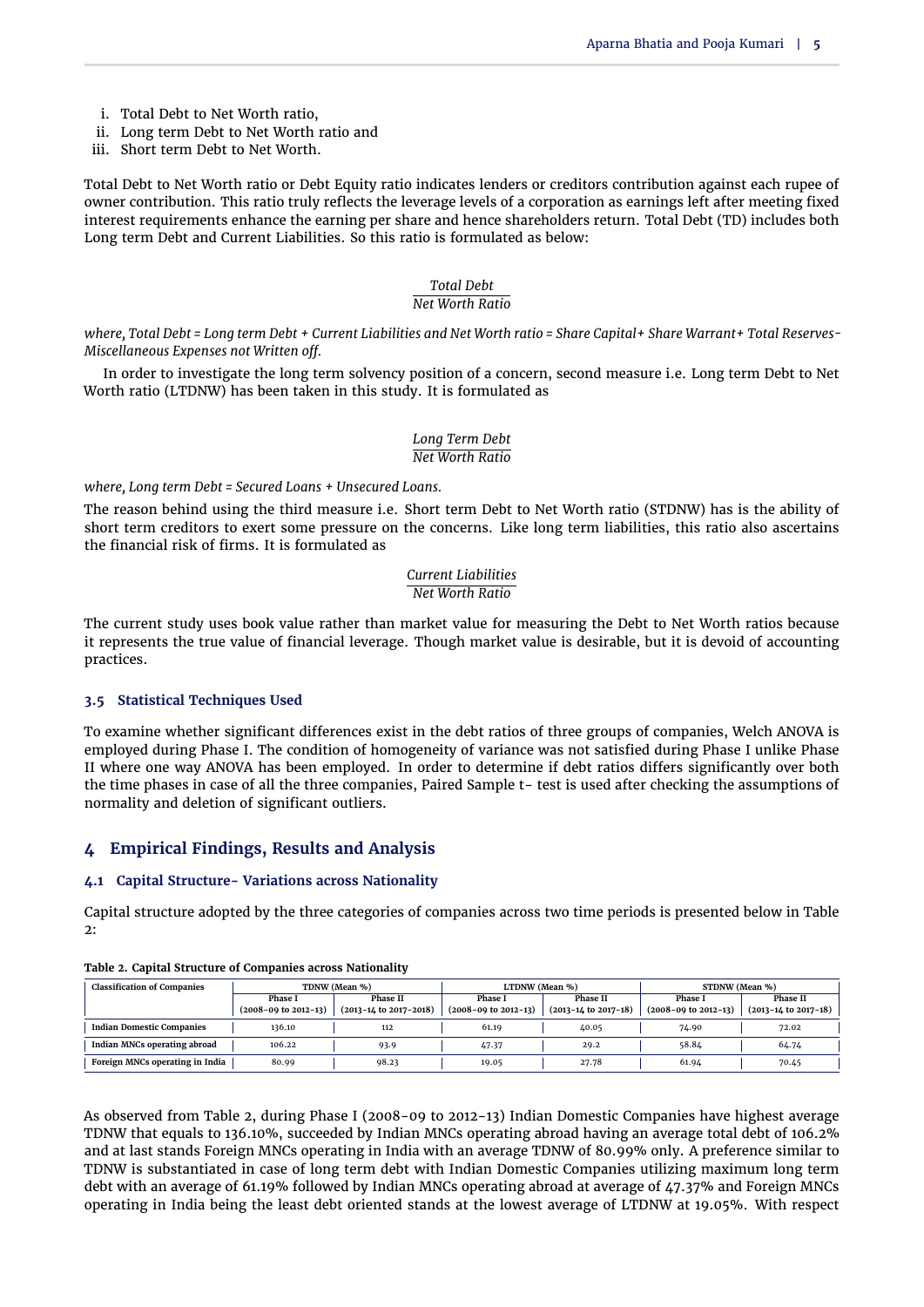- i. Total Debt to Net Worth ratio,
- ii. Long term Debt to Net Worth ratio and
- iii. Short term Debt to Net Worth.

Total Debt to Net Worth ratio or Debt Equity ratio indicates lenders or creditors contribution against each rupee of owner contribution. This ratio truly reflects the leverage levels of a corporation as earnings left after meeting fixed interest requirements enhance the earning per share and hence shareholders return. Total Debt (TD) includes both Long term Debt and Current Liabilities. So this ratio is formulated as below:

#### *Total Debt Net Worth Ratio*

*where, Total Debt = Long term Debt + Current Liabilities and Net Worth ratio = Share Capital+ Share Warrant+ Total Reserves-Miscellaneous Expenses not Written off.*

In order to investigate the long term solvency position of a concern, second measure i.e. Long term Debt to Net Worth ratio (LTDNW) has been taken in this study. It is formulated as

## *Long Term Debt Net Worth Ratio*

*where, Long term Debt = Secured Loans + Unsecured Loans.*

The reason behind using the third measure i.e. Short term Debt to Net Worth ratio (STDNW) has is the ability of short term creditors to exert some pressure on the concerns. Like long term liabilities, this ratio also ascertains the financial risk of firms. It is formulated as

## *Current Liabilities Net Worth Ratio*

The current study uses book value rather than market value for measuring the Debt to Net Worth ratios because it represents the true value of financial leverage. Though market value is desirable, but it is devoid of accounting practices.

## **3.5 Statistical Techniques Used**

To examine whether significant differences exist in the debt ratios of three groups of companies, Welch ANOVA is employed during Phase I. The condition of homogeneity of variance was not satisfied during Phase I unlike Phase II where one way ANOVA has been employed. In order to determine if debt ratios differs significantly over both the time phases in case of all the three companies, Paired Sample t- test is used after checking the assumptions of normality and deletion of significant outliers.

# **4 Empirical Findings, Results and Analysis**

## **4.1 Capital Structure- Variations across Nationality**

Capital structure adopted by the three categories of companies across two time periods is presented below in [Table](#page-4-0)  $2$ 

| <b>Classification of Companies</b> | TDNW (Mean %)                |                                | LTDNW (Mean %)            |                              | STDNW (Mean %)                |                              |  |
|------------------------------------|------------------------------|--------------------------------|---------------------------|------------------------------|-------------------------------|------------------------------|--|
|                                    | Phase I                      | Phase II                       | <b>Phase I</b>            | Phase II                     | <b>Phase I</b>                | Phase II                     |  |
|                                    | $(2008 - 09)$ to $2012 - 13$ | $(2013 - 14$ to $2017 - 2018)$ | $(2008 - 09)$ to 2012-13) | $(2013 - 14$ to $2017 - 18)$ | $(2008 - 09)$ to $2012 - 13)$ | $(2013 - 14$ to $2017 - 18)$ |  |
| <b>Indian Domestic Companies</b>   | 136.10                       | 112                            | 61.19                     | 40.05                        | 74.90                         | 72.02                        |  |
| Indian MNCs operating abroad       | 106.22                       | 93.9                           | 47.37                     | 29.2                         | 58.84                         | 64.74                        |  |
| Foreign MNCs operating in India    | 80.99                        | 98.23                          | 19.05                     | 27.78                        | 61.94                         | 70.45                        |  |

<span id="page-4-0"></span>**Table 2. Capital Structure of Companies across Nationality**

As observed from [Table 2,](#page-4-0) during Phase I (2008-09 to 2012-13) Indian Domestic Companies have highest average TDNW that equals to 136.10%, succeeded by Indian MNCs operating abroad having an average total debt of 106.2% and at last stands Foreign MNCs operating in India with an average TDNW of 80.99% only. A preference similar to TDNW is substantiated in case of long term debt with Indian Domestic Companies utilizing maximum long term debt with an average of 61.19% followed by Indian MNCs operating abroad at average of 47.37% and Foreign MNCs operating in India being the least debt oriented stands at the lowest average of LTDNW at 19.05%. With respect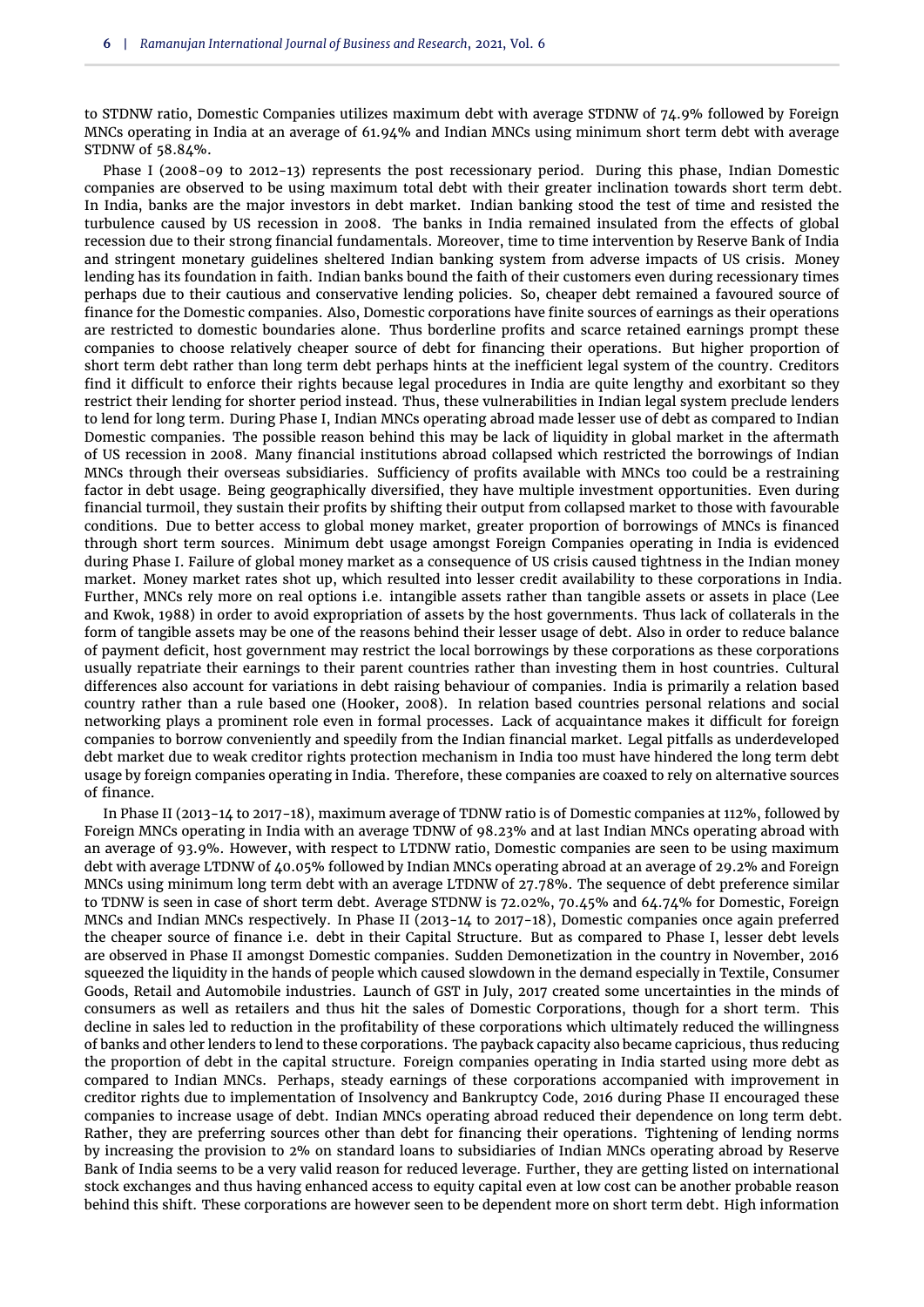to STDNW ratio, Domestic Companies utilizes maximum debt with average STDNW of 74.9% followed by Foreign MNCs operating in India at an average of 61.94% and Indian MNCs using minimum short term debt with average STDNW of 58.84%.

Phase I (2008-09 to 2012-13) represents the post recessionary period. During this phase, Indian Domestic companies are observed to be using maximum total debt with their greater inclination towards short term debt. In India, banks are the major investors in debt market. Indian banking stood the test of time and resisted the turbulence caused by US recession in 2008. The banks in India remained insulated from the effects of global recession due to their strong financial fundamentals. Moreover, time to time intervention by Reserve Bank of India and stringent monetary guidelines sheltered Indian banking system from adverse impacts of US crisis. Money lending has its foundation in faith. Indian banks bound the faith of their customers even during recessionary times perhaps due to their cautious and conservative lending policies. So, cheaper debt remained a favoured source of finance for the Domestic companies. Also, Domestic corporations have finite sources of earnings as their operations are restricted to domestic boundaries alone. Thus borderline profits and scarce retained earnings prompt these companies to choose relatively cheaper source of debt for financing their operations. But higher proportion of short term debt rather than long term debt perhaps hints at the inefficient legal system of the country. Creditors find it difficult to enforce their rights because legal procedures in India are quite lengthy and exorbitant so they restrict their lending for shorter period instead. Thus, these vulnerabilities in Indian legal system preclude lenders to lend for long term. During Phase I, Indian MNCs operating abroad made lesser use of debt as compared to Indian Domestic companies. The possible reason behind this may be lack of liquidity in global market in the aftermath of US recession in 2008. Many financial institutions abroad collapsed which restricted the borrowings of Indian MNCs through their overseas subsidiaries. Sufficiency of profits available with MNCs too could be a restraining factor in debt usage. Being geographically diversified, they have multiple investment opportunities. Even during financial turmoil, they sustain their profits by shifting their output from collapsed market to those with favourable conditions. Due to better access to global money market, greater proportion of borrowings of MNCs is financed through short term sources. Minimum debt usage amongst Foreign Companies operating in India is evidenced during Phase I. Failure of global money market as a consequence of US crisis caused tightness in the Indian money market. Money market rates shot up, which resulted into lesser credit availability to these corporations in India. Further, MNCs rely more on real options i.e. intangible assets rather than tangible assets or assets in place [\(Lee](#page-9-3) [and Kwok,](#page-9-3) [1988\)](#page-9-3) in order to avoid expropriation of assets by the host governments. Thus lack of collaterals in the form of tangible assets may be one of the reasons behind their lesser usage of debt. Also in order to reduce balance of payment deficit, host government may restrict the local borrowings by these corporations as these corporations usually repatriate their earnings to their parent countries rather than investing them in host countries. Cultural differences also account for variations in debt raising behaviour of companies. India is primarily a relation based country rather than a rule based one [\(Hooker,](#page-9-32) [2008\)](#page-9-32). In relation based countries personal relations and social networking plays a prominent role even in formal processes. Lack of acquaintance makes it difficult for foreign companies to borrow conveniently and speedily from the Indian financial market. Legal pitfalls as underdeveloped debt market due to weak creditor rights protection mechanism in India too must have hindered the long term debt usage by foreign companies operating in India. Therefore, these companies are coaxed to rely on alternative sources of finance.

In Phase II (2013-14 to 2017-18), maximum average of TDNW ratio is of Domestic companies at 112%, followed by Foreign MNCs operating in India with an average TDNW of 98.23% and at last Indian MNCs operating abroad with an average of 93.9%. However, with respect to LTDNW ratio, Domestic companies are seen to be using maximum debt with average LTDNW of 40.05% followed by Indian MNCs operating abroad at an average of 29.2% and Foreign MNCs using minimum long term debt with an average LTDNW of 27.78%. The sequence of debt preference similar to TDNW is seen in case of short term debt. Average STDNW is 72.02%, 70.45% and 64.74% for Domestic, Foreign MNCs and Indian MNCs respectively. In Phase II (2013-14 to 2017-18), Domestic companies once again preferred the cheaper source of finance i.e. debt in their Capital Structure. But as compared to Phase I, lesser debt levels are observed in Phase II amongst Domestic companies. Sudden Demonetization in the country in November, 2016 squeezed the liquidity in the hands of people which caused slowdown in the demand especially in Textile, Consumer Goods, Retail and Automobile industries. Launch of GST in July, 2017 created some uncertainties in the minds of consumers as well as retailers and thus hit the sales of Domestic Corporations, though for a short term. This decline in sales led to reduction in the profitability of these corporations which ultimately reduced the willingness of banks and other lenders to lend to these corporations. The payback capacity also became capricious, thus reducing the proportion of debt in the capital structure. Foreign companies operating in India started using more debt as compared to Indian MNCs. Perhaps, steady earnings of these corporations accompanied with improvement in creditor rights due to implementation of Insolvency and Bankruptcy Code, 2016 during Phase II encouraged these companies to increase usage of debt. Indian MNCs operating abroad reduced their dependence on long term debt. Rather, they are preferring sources other than debt for financing their operations. Tightening of lending norms by increasing the provision to 2% on standard loans to subsidiaries of Indian MNCs operating abroad by Reserve Bank of India seems to be a very valid reason for reduced leverage. Further, they are getting listed on international stock exchanges and thus having enhanced access to equity capital even at low cost can be another probable reason behind this shift. These corporations are however seen to be dependent more on short term debt. High information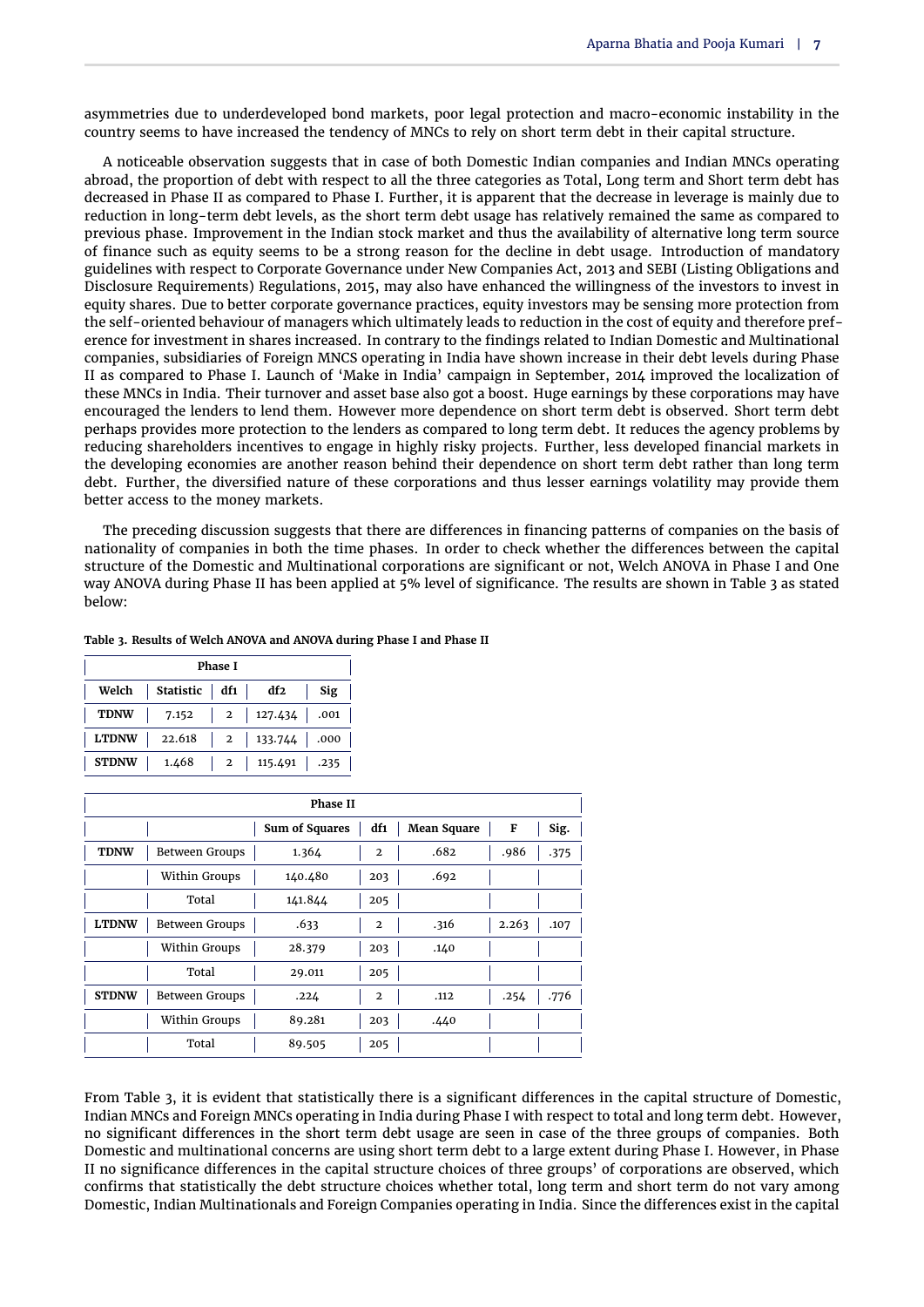asymmetries due to underdeveloped bond markets, poor legal protection and macro-economic instability in the country seems to have increased the tendency of MNCs to rely on short term debt in their capital structure.

A noticeable observation suggests that in case of both Domestic Indian companies and Indian MNCs operating abroad, the proportion of debt with respect to all the three categories as Total, Long term and Short term debt has decreased in Phase II as compared to Phase I. Further, it is apparent that the decrease in leverage is mainly due to reduction in long-term debt levels, as the short term debt usage has relatively remained the same as compared to previous phase. Improvement in the Indian stock market and thus the availability of alternative long term source of finance such as equity seems to be a strong reason for the decline in debt usage. Introduction of mandatory guidelines with respect to Corporate Governance under New Companies Act, 2013 and SEBI (Listing Obligations and Disclosure Requirements) Regulations, 2015, may also have enhanced the willingness of the investors to invest in equity shares. Due to better corporate governance practices, equity investors may be sensing more protection from the self-oriented behaviour of managers which ultimately leads to reduction in the cost of equity and therefore preference for investment in shares increased. In contrary to the findings related to Indian Domestic and Multinational companies, subsidiaries of Foreign MNCS operating in India have shown increase in their debt levels during Phase II as compared to Phase I. Launch of 'Make in India' campaign in September, 2014 improved the localization of these MNCs in India. Their turnover and asset base also got a boost. Huge earnings by these corporations may have encouraged the lenders to lend them. However more dependence on short term debt is observed. Short term debt perhaps provides more protection to the lenders as compared to long term debt. It reduces the agency problems by reducing shareholders incentives to engage in highly risky projects. Further, less developed financial markets in the developing economies are another reason behind their dependence on short term debt rather than long term debt. Further, the diversified nature of these corporations and thus lesser earnings volatility may provide them better access to the money markets.

The preceding discussion suggests that there are differences in financing patterns of companies on the basis of nationality of companies in both the time phases. In order to check whether the differences between the capital structure of the Domestic and Multinational corporations are significant or not, Welch ANOVA in Phase I and One way ANOVA during Phase II has been applied at 5% level of significance. The results are shown in [Table 3](#page-6-0) as stated below:

<span id="page-6-0"></span>

|  | Table 3. Results of Welch ANOVA and ANOVA during Phase I and Phase II |
|--|-----------------------------------------------------------------------|
|--|-----------------------------------------------------------------------|

| Phase I      |                 |  |                      |      |  |  |  |
|--------------|-----------------|--|----------------------|------|--|--|--|
| Welch        | Statistic   df1 |  | df2                  | Sig  |  |  |  |
| <b>TDNW</b>  | 7.152           |  | 2   127.434   $.001$ |      |  |  |  |
| <b>LTDNW</b> | 22.618          |  | 2   133.744   .000   |      |  |  |  |
| <b>STDNW</b> | 1.468           |  | 2   115.491          | .235 |  |  |  |

| <b>Phase II</b> |                |                       |                |                    |       |      |  |  |
|-----------------|----------------|-----------------------|----------------|--------------------|-------|------|--|--|
|                 |                | <b>Sum of Squares</b> | df1            | <b>Mean Square</b> | F     | Sig. |  |  |
| <b>TDNW</b>     | Between Groups | 1.364                 | $\overline{2}$ | .682               | .986  | .375 |  |  |
|                 | Within Groups  | 140.480               | 203            | .692               |       |      |  |  |
|                 | Total          | 141.844               | 205            |                    |       |      |  |  |
| <b>LTDNW</b>    | Between Groups | .633                  | $\overline{2}$ | .316               | 2.263 | .107 |  |  |
|                 | Within Groups  | 28.379                | 203            | .140               |       |      |  |  |
|                 | Total          | 29.011                | 205            |                    |       |      |  |  |
| <b>STDNW</b>    | Between Groups | .224                  | $\mathbf{2}$   | .112               | .254  | .776 |  |  |
|                 | Within Groups  | 89.281                | 203            | .440               |       |      |  |  |
|                 | Total          | 89.505                | 205            |                    |       |      |  |  |

From [Table 3,](#page-6-0) it is evident that statistically there is a significant differences in the capital structure of Domestic, Indian MNCs and Foreign MNCs operating in India during Phase I with respect to total and long term debt. However, no significant differences in the short term debt usage are seen in case of the three groups of companies. Both Domestic and multinational concerns are using short term debt to a large extent during Phase I. However, in Phase II no significance differences in the capital structure choices of three groups' of corporations are observed, which confirms that statistically the debt structure choices whether total, long term and short term do not vary among Domestic, Indian Multinationals and Foreign Companies operating in India. Since the differences exist in the capital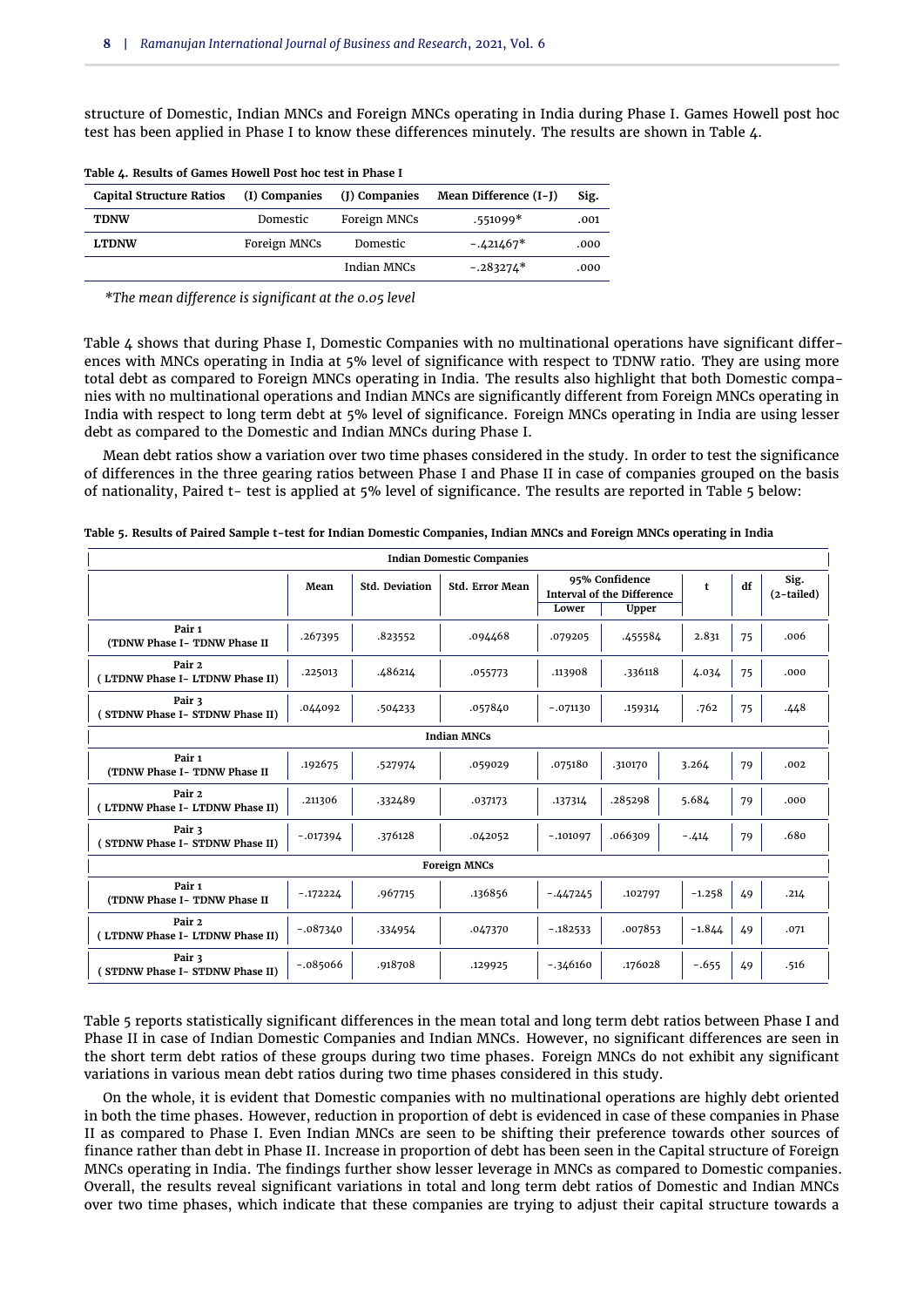structure of Domestic, Indian MNCs and Foreign MNCs operating in India during Phase I. Games Howell post hoc test has been applied in Phase I to know these differences minutely. The results are shown in [Table 4.](#page-7-0)

| <b>Capital Structure Ratios</b> | (I) Companies | (J) Companies | Mean Difference (I-J) | Sig. |
|---------------------------------|---------------|---------------|-----------------------|------|
| <b>TDNW</b>                     | Domestic      | Foreign MNCs  | $.551099*$            | .001 |
| <b>LTDNW</b>                    | Foreign MNCs  | Domestic      | $-.421467*$           | .000 |
|                                 |               | Indian MNCs   | $-.283274*$           | .000 |

<span id="page-7-0"></span>**Table 4. Results of Games Howell Post hoc test in Phase I**

*\*The mean difference is significant at the 0.05 level*

[Table 4](#page-7-0) shows that during Phase I, Domestic Companies with no multinational operations have significant differences with MNCs operating in India at 5% level of significance with respect to TDNW ratio. They are using more total debt as compared to Foreign MNCs operating in India. The results also highlight that both Domestic companies with no multinational operations and Indian MNCs are significantly different from Foreign MNCs operating in India with respect to long term debt at 5% level of significance. Foreign MNCs operating in India are using lesser debt as compared to the Domestic and Indian MNCs during Phase I.

Mean debt ratios show a variation over two time phases considered in the study. In order to test the significance of differences in the three gearing ratios between Phase I and Phase II in case of companies grouped on the basis of nationality, Paired t- test is applied at 5% level of significance. The results are reported in [Table 5](#page-7-1) below:

| <b>Indian Domestic Companies</b>          |                     |                       |                        |                                                     |              |          |    |                      |  |
|-------------------------------------------|---------------------|-----------------------|------------------------|-----------------------------------------------------|--------------|----------|----|----------------------|--|
|                                           | Mean                | <b>Std. Deviation</b> | <b>Std. Error Mean</b> | 95% Confidence<br><b>Interval of the Difference</b> |              | t        | df | Sig.<br>$(2-tailed)$ |  |
|                                           |                     |                       |                        | Lower                                               | <b>Upper</b> |          |    |                      |  |
| Pair 1<br>(TDNW Phase I-TDNW Phase II     | .267395             | .823552               | .094468                | .079205                                             | .455584      | 2.831    | 75 | .006                 |  |
| Pair 2<br>(LTDNW Phase I-LTDNW Phase II)  | .225013             | .486214               | .055773                | .113908                                             | .336118      | 4.034    | 75 | .000                 |  |
| Pair 3<br>STDNW Phase I- STDNW Phase II)  | .044092             | .504233               | .057840                | $-.071130$                                          | .159314      | .762     | 75 | .448                 |  |
|                                           |                     |                       | <b>Indian MNCs</b>     |                                                     |              |          |    |                      |  |
| Pair 1<br>(TDNW Phase I-TDNW Phase II     | .192675             | .527974               | .059029                | .075180                                             | .310170      | 3.264    | 79 | .002                 |  |
| Pair 2<br>(LTDNW Phase I- LTDNW Phase II) | .211306             | .332489               | .037173                | .137314                                             | .285298      | 5.684    | 79 | .000                 |  |
| Pair 3<br>STDNW Phase I- STDNW Phase II)  | $-.017394$          | .376128               | .042052                | $-.101097$                                          | .066309      | $-.414$  | 79 | .680                 |  |
|                                           | <b>Foreign MNCs</b> |                       |                        |                                                     |              |          |    |                      |  |
| Pair 1<br>(TDNW Phase I-TDNW Phase II     | $-.172224$          | .967715               | .136856                | $-.447245$                                          | .102797      | $-1.258$ | 49 | .214                 |  |
| Pair 2<br>(LTDNW Phase I-LTDNW Phase II)  | $-.087340$          | .334954               | .047370                | $-.182533$                                          | .007853      | $-1.844$ | 49 | .071                 |  |
| Pair 3<br>STDNW Phase I- STDNW Phase II)  | $-.085066$          | .918708               | .129925                | $-.346160$                                          | .176028      | $-.655$  | 49 | .516                 |  |

<span id="page-7-1"></span>**Table 5. Results of Paired Sample t-test for Indian Domestic Companies, Indian MNCs and Foreign MNCs operating in India**

[Table 5](#page-7-1) reports statistically significant differences in the mean total and long term debt ratios between Phase I and Phase II in case of Indian Domestic Companies and Indian MNCs. However, no significant differences are seen in the short term debt ratios of these groups during two time phases. Foreign MNCs do not exhibit any significant variations in various mean debt ratios during two time phases considered in this study.

On the whole, it is evident that Domestic companies with no multinational operations are highly debt oriented in both the time phases. However, reduction in proportion of debt is evidenced in case of these companies in Phase II as compared to Phase I. Even Indian MNCs are seen to be shifting their preference towards other sources of finance rather than debt in Phase II. Increase in proportion of debt has been seen in the Capital structure of Foreign MNCs operating in India. The findings further show lesser leverage in MNCs as compared to Domestic companies. Overall, the results reveal significant variations in total and long term debt ratios of Domestic and Indian MNCs over two time phases, which indicate that these companies are trying to adjust their capital structure towards a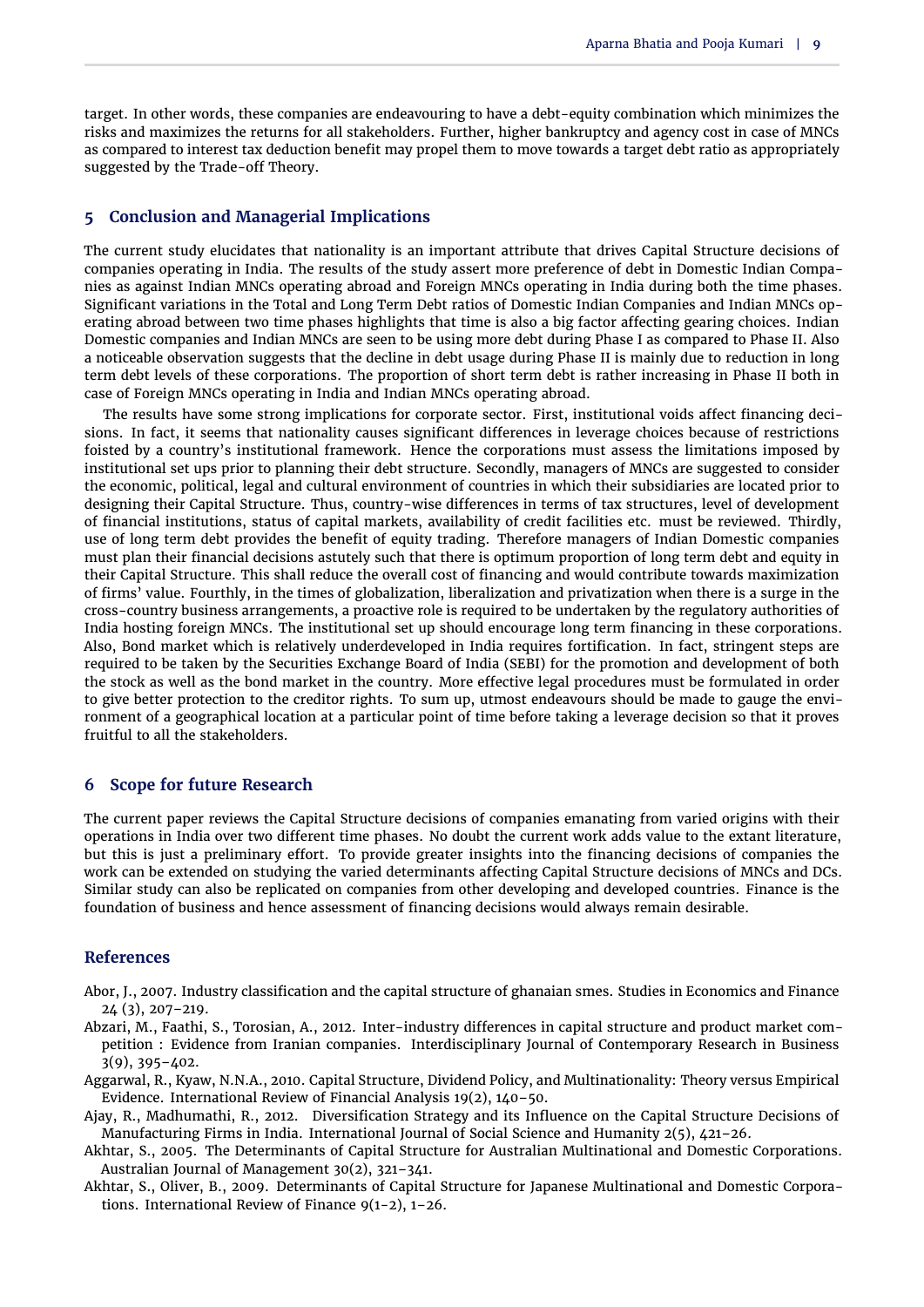target. In other words, these companies are endeavouring to have a debt-equity combination which minimizes the risks and maximizes the returns for all stakeholders. Further, higher bankruptcy and agency cost in case of MNCs as compared to interest tax deduction benefit may propel them to move towards a target debt ratio as appropriately suggested by the Trade-off Theory.

# **5 Conclusion and Managerial Implications**

The current study elucidates that nationality is an important attribute that drives Capital Structure decisions of companies operating in India. The results of the study assert more preference of debt in Domestic Indian Companies as against Indian MNCs operating abroad and Foreign MNCs operating in India during both the time phases. Significant variations in the Total and Long Term Debt ratios of Domestic Indian Companies and Indian MNCs operating abroad between two time phases highlights that time is also a big factor affecting gearing choices. Indian Domestic companies and Indian MNCs are seen to be using more debt during Phase I as compared to Phase II. Also a noticeable observation suggests that the decline in debt usage during Phase II is mainly due to reduction in long term debt levels of these corporations. The proportion of short term debt is rather increasing in Phase II both in case of Foreign MNCs operating in India and Indian MNCs operating abroad.

The results have some strong implications for corporate sector. First, institutional voids affect financing decisions. In fact, it seems that nationality causes significant differences in leverage choices because of restrictions foisted by a country's institutional framework. Hence the corporations must assess the limitations imposed by institutional set ups prior to planning their debt structure. Secondly, managers of MNCs are suggested to consider the economic, political, legal and cultural environment of countries in which their subsidiaries are located prior to designing their Capital Structure. Thus, country-wise differences in terms of tax structures, level of development of financial institutions, status of capital markets, availability of credit facilities etc. must be reviewed. Thirdly, use of long term debt provides the benefit of equity trading. Therefore managers of Indian Domestic companies must plan their financial decisions astutely such that there is optimum proportion of long term debt and equity in their Capital Structure. This shall reduce the overall cost of financing and would contribute towards maximization of firms' value. Fourthly, in the times of globalization, liberalization and privatization when there is a surge in the cross-country business arrangements, a proactive role is required to be undertaken by the regulatory authorities of India hosting foreign MNCs. The institutional set up should encourage long term financing in these corporations. Also, Bond market which is relatively underdeveloped in India requires fortification. In fact, stringent steps are required to be taken by the Securities Exchange Board of India (SEBI) for the promotion and development of both the stock as well as the bond market in the country. More effective legal procedures must be formulated in order to give better protection to the creditor rights. To sum up, utmost endeavours should be made to gauge the environment of a geographical location at a particular point of time before taking a leverage decision so that it proves fruitful to all the stakeholders.

# **6 Scope for future Research**

The current paper reviews the Capital Structure decisions of companies emanating from varied origins with their operations in India over two different time phases. No doubt the current work adds value to the extant literature, but this is just a preliminary effort. To provide greater insights into the financing decisions of companies the work can be extended on studying the varied determinants affecting Capital Structure decisions of MNCs and DCs. Similar study can also be replicated on companies from other developing and developed countries. Finance is the foundation of business and hence assessment of financing decisions would always remain desirable.

# **References**

- <span id="page-8-5"></span>Abor, J., 2007. Industry classification and the capital structure of ghanaian smes. Studies in Economics and Finance 24 (3), 207–219.
- <span id="page-8-4"></span>Abzari, M., Faathi, S., Torosian, A., 2012. Inter-industry differences in capital structure and product market competition : Evidence from Iranian companies. Interdisciplinary Journal of Contemporary Research in Business 3(9), 395–402.
- <span id="page-8-1"></span>Aggarwal, R., Kyaw, N.N.A., 2010. Capital Structure, Dividend Policy, and Multinationality: Theory versus Empirical Evidence. International Review of Financial Analysis 19(2), 140–50.
- <span id="page-8-2"></span>Ajay, R., Madhumathi, R., 2012. Diversification Strategy and its Influence on the Capital Structure Decisions of Manufacturing Firms in India. International Journal of Social Science and Humanity 2(5), 421–26.
- <span id="page-8-3"></span>Akhtar, S., 2005. The Determinants of Capital Structure for Australian Multinational and Domestic Corporations. Australian Journal of Management 30(2), 321–341.
- <span id="page-8-0"></span>Akhtar, S., Oliver, B., 2009. Determinants of Capital Structure for Japanese Multinational and Domestic Corporations. International Review of Finance 9(1-2), 1–26.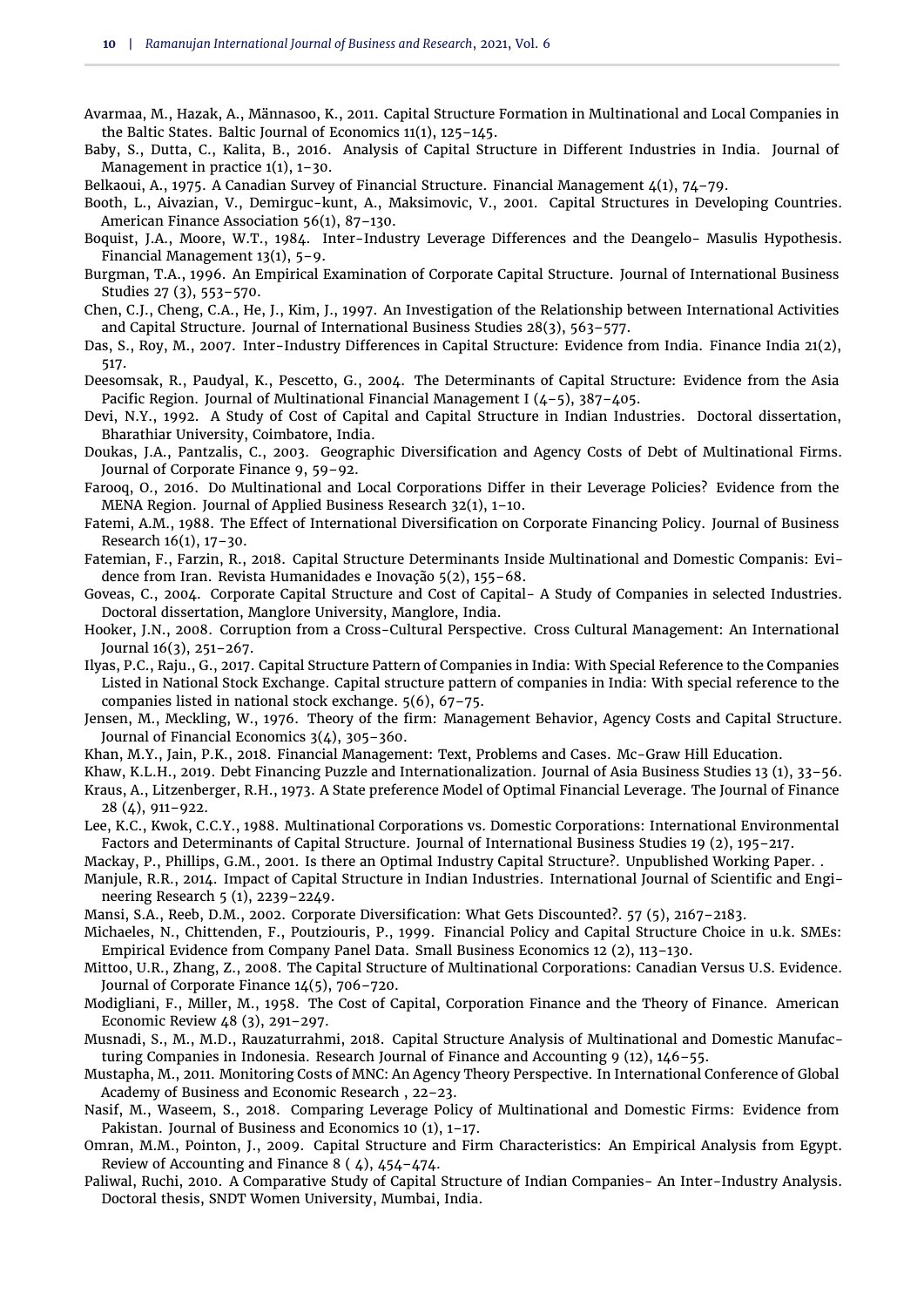- <span id="page-9-15"></span>Avarmaa, M., Hazak, A., Männasoo, K., 2011. Capital Structure Formation in Multinational and Local Companies in the Baltic States. Baltic Journal of Economics 11(1), 125–145.
- <span id="page-9-26"></span>Baby, S., Dutta, C., Kalita, B., 2016. Analysis of Capital Structure in Different Industries in India. Journal of Management in practice 1(1), 1–30.
- <span id="page-9-22"></span>Belkaoui, A., 1975. A Canadian Survey of Financial Structure. Financial Management  $\mu(1)$ , 74-79.
- <span id="page-9-31"></span>Booth, L., Aivazian, V., Demirguc-kunt, A., Maksimovic, V., 2001. Capital Structures in Developing Countries. American Finance Association 56(1), 87–130.
- <span id="page-9-17"></span>Boquist, J.A., Moore, W.T., 1984. Inter-Industry Leverage Differences and the Deangelo- Masulis Hypothesis. Financial Management 13(1), 5–9.
- <span id="page-9-4"></span>Burgman, T.A., 1996. An Empirical Examination of Corporate Capital Structure. Journal of International Business Studies 27 (3), 553–570.
- <span id="page-9-8"></span>Chen, C.J., Cheng, C.A., He, J., Kim, J., 1997. An Investigation of the Relationship between International Activities and Capital Structure. Journal of International Business Studies 28(3), 563–577.
- <span id="page-9-20"></span>Das, S., Roy, M., 2007. Inter-Industry Differences in Capital Structure: Evidence from India. Finance India 21(2), 517.
- <span id="page-9-28"></span>Deesomsak, R., Paudyal, K., Pescetto, G., 2004. The Determinants of Capital Structure: Evidence from the Asia Pacific Region. Journal of Multinational Financial Management I  $(4-5)$ , 387-405.
- <span id="page-9-23"></span>Devi, N.Y., 1992. A Study of Cost of Capital and Capital Structure in Indian Industries. Doctoral dissertation, Bharathiar University, Coimbatore, India.
- <span id="page-9-11"></span>Doukas, J.A., Pantzalis, C., 2003. Geographic Diversification and Agency Costs of Debt of Multinational Firms. Journal of Corporate Finance 9, 59–92.
- <span id="page-9-5"></span>Farooq, O., 2016. Do Multinational and Local Corporations Differ in their Leverage Policies? Evidence from the MENA Region. Journal of Applied Business Research 32(1), 1–10.
- <span id="page-9-2"></span>Fatemi, A.M., 1988. The Effect of International Diversification on Corporate Financing Policy. Journal of Business Research 16(1), 17–30.
- <span id="page-9-9"></span>Fatemian, F., Farzin, R., 2018. Capital Structure Determinants Inside Multinational and Domestic Companis: Evidence from Iran. Revista Humanidades e Inovação 5(2), 155–68.
- <span id="page-9-19"></span>Goveas, C., 2004. Corporate Capital Structure and Cost of Capital- A Study of Companies in selected Industries. Doctoral dissertation, Manglore University, Manglore, India.
- <span id="page-9-32"></span>Hooker, J.N., 2008. Corruption from a Cross-Cultural Perspective. Cross Cultural Management: An International Journal 16(3), 251–267.
- <span id="page-9-30"></span>Ilyas, P.C., Raju., G., 2017. Capital Structure Pattern of Companies in India: With Special Reference to the Companies Listed in National Stock Exchange. Capital structure pattern of companies in India: With special reference to the companies listed in national stock exchange. 5(6), 67–75.
- <span id="page-9-7"></span>Jensen, M., Meckling, W., 1976. Theory of the firm: Management Behavior, Agency Costs and Capital Structure. Journal of Financial Economics 3(4), 305–360.
- <span id="page-9-29"></span>Khan, M.Y., Jain, P.K., 2018. Financial Management: Text, Problems and Cases. Mc-Graw Hill Education.
- <span id="page-9-12"></span>Khaw, K.L.H., 2019. Debt Financing Puzzle and Internationalization. Journal of Asia Business Studies 13 (1), 33–56.
- <span id="page-9-6"></span>Kraus, A., Litzenberger, R.H., 1973. A State preference Model of Optimal Financial Leverage. The Journal of Finance 28 (4), 911–922.
- <span id="page-9-3"></span>Lee, K.C., Kwok, C.C.Y., 1988. Multinational Corporations vs. Domestic Corporations: International Environmental Factors and Determinants of Capital Structure. Journal of International Business Studies 19 (2), 195–217.
- <span id="page-9-18"></span>Mackay, P., Phillips, G.M., 2001. Is there an Optimal Industry Capital Structure?. Unpublished Working Paper. .
- <span id="page-9-25"></span>Manjule, R.R., 2014. Impact of Capital Structure in Indian Industries. International Journal of Scientific and Engineering Research 5 (1), 2239–2249.
- <span id="page-9-13"></span>Mansi, S.A., Reeb, D.M., 2002. Corporate Diversification: What Gets Discounted?. 57 (5), 2167–2183.
- <span id="page-9-27"></span>Michaeles, N., Chittenden, F., Poutziouris, P., 1999. Financial Policy and Capital Structure Choice in u.k. SMEs: Empirical Evidence from Company Panel Data. Small Business Economics 12 (2), 113–130.
- <span id="page-9-1"></span>Mittoo, U.R., Zhang, Z., 2008. The Capital Structure of Multinational Corporations: Canadian Versus U.S. Evidence. Journal of Corporate Finance 14(5), 706–720.
- <span id="page-9-0"></span>Modigliani, F., Miller, M., 1958. The Cost of Capital, Corporation Finance and the Theory of Finance. American Economic Review 48 (3), 291–297.
- <span id="page-9-16"></span>Musnadi, S., M., M.D., Rauzaturrahmi, 2018. Capital Structure Analysis of Multinational and Domestic Manufacturing Companies in Indonesia. Research Journal of Finance and Accounting 9 (12), 146–55.
- <span id="page-9-10"></span>Mustapha, M., 2011. Monitoring Costs of MNC: An Agency Theory Perspective. In International Conference of Global Academy of Business and Economic Research , 22–23.
- <span id="page-9-14"></span>Nasif, M., Waseem, S., 2018. Comparing Leverage Policy of Multinational and Domestic Firms: Evidence from Pakistan. Journal of Business and Economics 10 (1), 1–17.
- <span id="page-9-24"></span>Omran, M.M., Pointon, J., 2009. Capital Structure and Firm Characteristics: An Empirical Analysis from Egypt. Review of Accounting and Finance 8 ( 4), 454–474.
- <span id="page-9-21"></span>Paliwal, Ruchi, 2010. A Comparative Study of Capital Structure of Indian Companies- An Inter-Industry Analysis. Doctoral thesis, SNDT Women University, Mumbai, India.